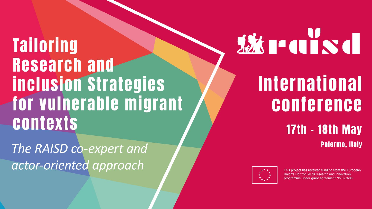**Tailoring Research and inclusion Strategies** for vulnerable migrant **contexts** 

The RAISD co-expert and actor-oriented approach

# **WEITERS**

## **International** conference

### **17th - 18th May Palermo, Italy**



This project has received funding from the European Union's Horizon 2020 research and innovation programme under grant agreement No 822688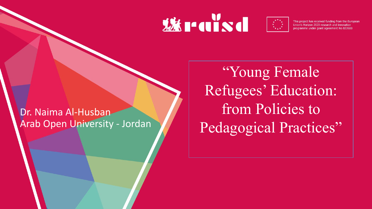### **World**



This project has received funding from the European Union's Horizon 2020 research and innovation programme under grant agreement No 822688

### Dr. Naima Al-Husban Arab Open University - Jordan

"Young Female Refugees' Education: from Policies to Pedagogical Practices"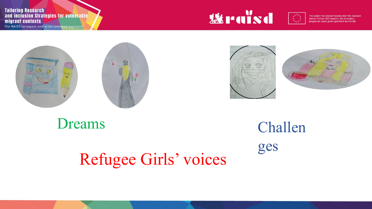**Tailoring Research** and inclusion Strategies for vulnerable migrant contexts

The RAISD co-expert and actor-oriented approach



 $\frac{1}{\sum\limits_{k=1}^{N}x_k}$ 

This project has received funding from the European<br>Union's Horizon 2020 research and innovation programme under grant agreement No 822688







Dreams Challen

ges

Refugee Girls' voices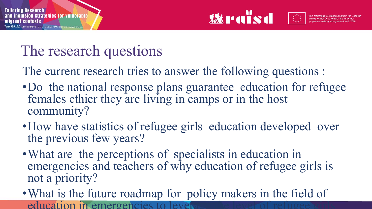

### The research questions

The current research tries to answer the following questions :

- •Do the national response plans guarantee education for refugee females ethier they are living in camps or in the host community?
- How have statistics of refugee girls education developed over the previous few years?
- What are the perceptions of specialists in education in emergencies and teachers of why education of refugee girls is not a priority?
- •What is the future roadmap for policy makers in the field of education in emergencies to level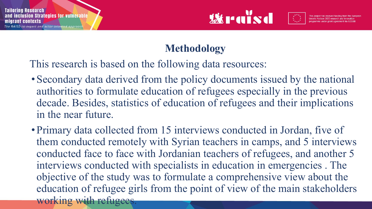

### **Methodology**

This research is based on the following data resources:

- Secondary data derived from the policy documents issued by the national authorities to formulate education of refugees especially in the previous decade. Besides, statistics of education of refugees and their implications in the near future.
- Primary data collected from 15 interviews conducted in Jordan, five of them conducted remotely with Syrian teachers in camps, and 5 interviews conducted face to face with Jordanian teachers of refugees, and another 5 interviews conducted with specialists in education in emergencies . The objective of the study was to formulate a comprehensive view about the education of refugee girls from the point of view of the main stakeholders working with refugees.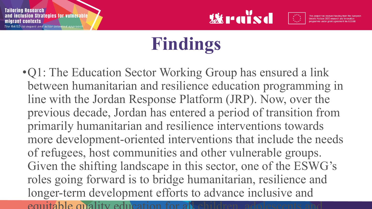

### **Findings**

•Q1: The Education Sector Working Group has ensured a link between humanitarian and resilience education programming in line with the Jordan Response Platform (JRP). Now, over the previous decade, Jordan has entered a period of transition from primarily humanitarian and resilience interventions towards more development-oriented interventions that include the needs of refugees, host communities and other vulnerable groups. Given the shifting landscape in this sector, one of the ESWG's roles going forward is to bridge humanitarian, resilience and longer-term development efforts to advance inclusive and equitable quality education for all children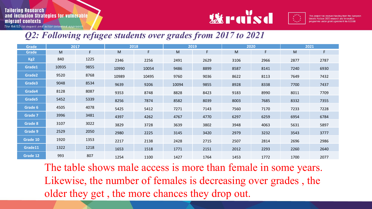#### **Tailoring Research** and inclusion Strategies for vulnerable migrant contexts

The RAISD co-expert and actor-oriented approach



#### *Q2: Following refugee students over grades from 2017 to 2021*

| <b>Grade</b>    | 2017  |      | 2018  |       | 2019  |      | 2020 |      | 2021 |      |
|-----------------|-------|------|-------|-------|-------|------|------|------|------|------|
| <b>Grade</b>    | M     | F    | M     | F     | M     | F    | M    | F.   | M    | F    |
| Kg <sub>2</sub> | 840   | 1225 | 2346  | 2256  | 2491  | 2629 | 3106 | 2966 | 2877 | 2787 |
| Grade1          | 10935 | 9855 | 10990 | 10054 | 9486  | 8899 | 8587 | 8141 | 7240 | 6930 |
| Grade2          | 9520  | 8768 | 10989 | 10495 | 9760  | 9036 | 8622 | 8113 | 7649 | 7432 |
| Grade3          | 9048  | 8534 | 9639  | 9206  | 10094 | 9855 | 8928 | 8338 | 7700 | 7437 |
| Grade4          | 8128  | 8087 | 9353  | 8748  | 8828  | 8423 | 9183 | 8990 | 8011 | 7709 |
| Grade5          | 5452  | 5339 | 8256  | 7874  | 8582  | 8039 | 8003 | 7685 | 8332 | 7355 |
| Grade 6         | 4505  | 4078 | 5425  | 5412  | 7271  | 7143 | 7560 | 7170 | 7233 | 7228 |
| <b>Grade 7</b>  | 3996  | 3481 | 4397  | 4262  | 4767  | 4770 | 6297 | 6259 | 6954 | 6784 |
| Grade 8         | 3107  | 3022 | 3829  | 3728  | 3639  | 3802 | 3948 | 4063 | 5631 | 5897 |
| <b>Grade 9</b>  | 2529  | 2050 | 2980  | 2225  | 3145  | 3420 | 2979 | 3232 | 3543 | 3777 |
| Grade 10        | 1920  | 1353 | 2217  | 2138  | 2428  | 2715 | 2507 | 2814 | 2696 | 2986 |
| Grade11         | 1322  | 1218 | 1653  | 1518  | 1771  | 2151 | 2012 | 2293 | 2260 | 2640 |
| Grade 12        | 993   | 807  | 1254  | 1100  | 1427  | 1764 | 1453 | 1772 | 1700 | 2077 |

The table shows male access is more than female in some years. Likewise, the number of females is decreasing over grades , the older they get , the more chances they drop out.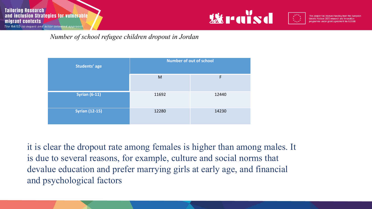



 *Number of school refugee children dropout in Jordan* 



it is clear the dropout rate among females is higher than among males. It is due to several reasons, for example, culture and social norms that devalue education and prefer marrying girls at early age, and financial and psychological factors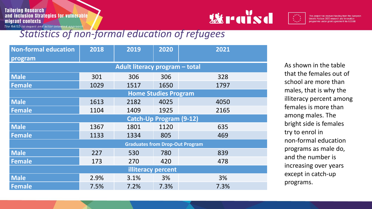**Tailoring Research** and inclusion Strategies for vulnerable migrant contexts The RAISD co-expert and actor-oriented approach



### *Statistics of non-formal education of refugees*

| <b>Non-formal education</b>            | 2018 | 2019 | 2020 | 2021 |  |  |  |  |  |  |
|----------------------------------------|------|------|------|------|--|--|--|--|--|--|
| program                                |      |      |      |      |  |  |  |  |  |  |
| Adult literacy program - total         |      |      |      |      |  |  |  |  |  |  |
| <b>Male</b>                            | 301  | 306  | 306  | 328  |  |  |  |  |  |  |
| Female                                 | 1029 | 1517 | 1650 | 1797 |  |  |  |  |  |  |
| <b>Home Studies Program</b>            |      |      |      |      |  |  |  |  |  |  |
| <b>Male</b>                            | 1613 | 2182 | 4025 | 4050 |  |  |  |  |  |  |
| <b>Female</b>                          | 1104 | 1409 | 1925 | 2165 |  |  |  |  |  |  |
| <b>Catch-Up Program (9-12)</b>         |      |      |      |      |  |  |  |  |  |  |
| <b>Male</b>                            | 1367 | 1801 | 1120 | 635  |  |  |  |  |  |  |
| <b>Female</b>                          | 1133 | 1334 | 805  | 469  |  |  |  |  |  |  |
| <b>Graduates from Drop-Out Program</b> |      |      |      |      |  |  |  |  |  |  |
| <b>Male</b>                            | 227  | 530  | 780  | 839  |  |  |  |  |  |  |
| <b>Female</b>                          | 173  | 270  | 420  | 478  |  |  |  |  |  |  |
| illiteracy percent                     |      |      |      |      |  |  |  |  |  |  |
| <b>Male</b>                            | 2.9% | 3.1% | 3%   | 3%   |  |  |  |  |  |  |
| <b>Female</b>                          | 7.5% | 7.2% | 7.3% | 7.3% |  |  |  |  |  |  |

As shown in the table that the females out of school are more than males, that is why the illiteracy percent among females is more than among males. The bright side is females try to enrol in non-formal education programs as male do, and the number is increasing over years except in catch-up programs.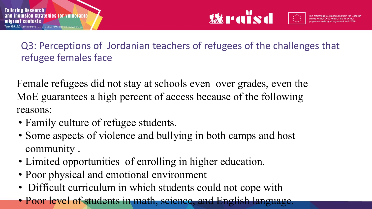

Q3: Perceptions of Jordanian teachers of refugees of the challenges that refugee females face

Female refugees did not stay at schools even over grades, even the MoE guarantees a high percent of access because of the following reasons:

- Family culture of refugee students.
- Some aspects of violence and bullying in both camps and host community .
- Limited opportunities of enrolling in higher education.
- Poor physical and emotional environment
- Difficult curriculum in which students could not cope with
- Poor level of students in math, science, and English language.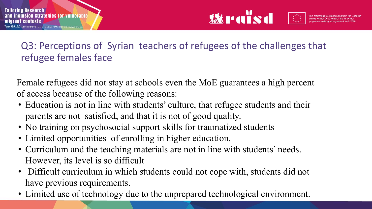

### Q3: Perceptions of Syrian teachers of refugees of the challenges that refugee females face

Female refugees did not stay at schools even the MoE guarantees a high percent of access because of the following reasons:

- Education is not in line with students' culture, that refugee students and their parents are not satisfied, and that it is not of good quality.
- No training on psychosocial support skills for traumatized students
- Limited opportunities of enrolling in higher education.
- Curriculum and the teaching materials are not in line with students' needs. However, its level is so difficult
- Difficult curriculum in which students could not cope with, students did not have previous requirements.
- Limited use of technology due to the unprepared technological environment.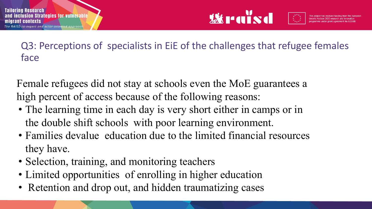

Q3: Perceptions of specialists in EiE of the challenges that refugee females face

Female refugees did not stay at schools even the MoE guarantees a high percent of access because of the following reasons:

- The learning time in each day is very short either in camps or in the double shift schools with poor learning environment.
- Families devalue education due to the limited financial resources they have.
- Selection, training, and monitoring teachers
- Limited opportunities of enrolling in higher education
- Retention and drop out, and hidden traumatizing cases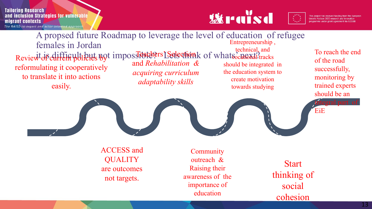#### **Tailoring Research** and inclusion Strategies for vulnerable migrant contexts

The RAISD co-expert and actor-oriented approach





cohesion